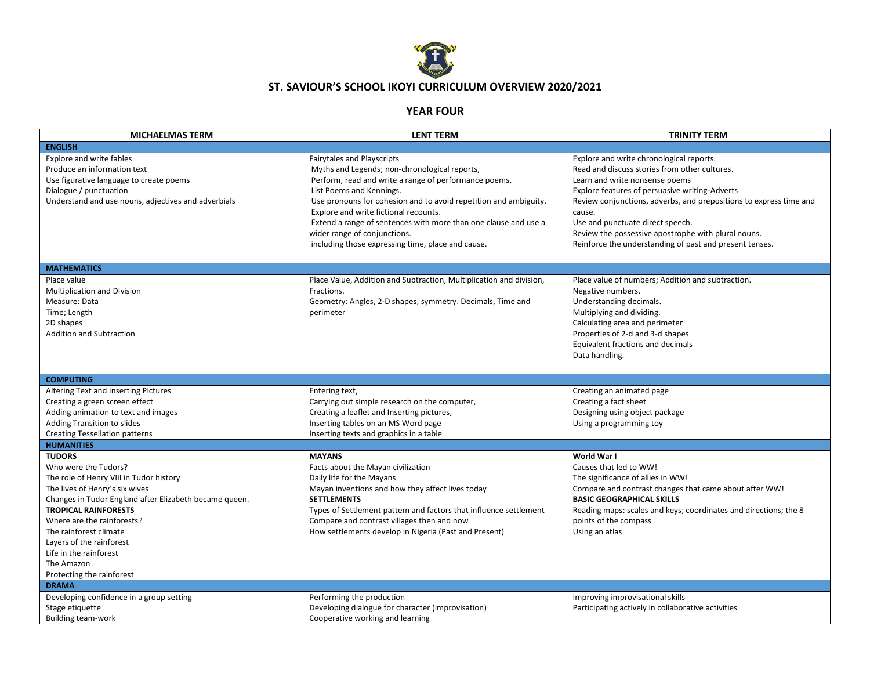

## **ST. SAVIOUR'S SCHOOL IKOYI CURRICULUM OVERVIEW 2020/2021**

## **YEAR FOUR**

| <b>MICHAELMAS TERM</b>                                                                                                                                                                                                                                                                                                                                               | <b>LENT TERM</b>                                                                                                                                                                                                                                                                                                                                                                                                                      | <b>TRINITY TERM</b>                                                                                                                                                                                                                                                                                                                                                                                                 |
|----------------------------------------------------------------------------------------------------------------------------------------------------------------------------------------------------------------------------------------------------------------------------------------------------------------------------------------------------------------------|---------------------------------------------------------------------------------------------------------------------------------------------------------------------------------------------------------------------------------------------------------------------------------------------------------------------------------------------------------------------------------------------------------------------------------------|---------------------------------------------------------------------------------------------------------------------------------------------------------------------------------------------------------------------------------------------------------------------------------------------------------------------------------------------------------------------------------------------------------------------|
| <b>ENGLISH</b>                                                                                                                                                                                                                                                                                                                                                       |                                                                                                                                                                                                                                                                                                                                                                                                                                       |                                                                                                                                                                                                                                                                                                                                                                                                                     |
| Explore and write fables<br>Produce an information text<br>Use figurative language to create poems<br>Dialogue / punctuation<br>Understand and use nouns, adjectives and adverbials                                                                                                                                                                                  | Fairytales and Playscripts<br>Myths and Legends; non-chronological reports,<br>Perform, read and write a range of performance poems,<br>List Poems and Kennings.<br>Use pronouns for cohesion and to avoid repetition and ambiguity.<br>Explore and write fictional recounts.<br>Extend a range of sentences with more than one clause and use a<br>wider range of conjunctions.<br>including those expressing time, place and cause. | Explore and write chronological reports.<br>Read and discuss stories from other cultures.<br>Learn and write nonsense poems<br>Explore features of persuasive writing-Adverts<br>Review conjunctions, adverbs, and prepositions to express time and<br>cause.<br>Use and punctuate direct speech.<br>Review the possessive apostrophe with plural nouns.<br>Reinforce the understanding of past and present tenses. |
| <b>MATHEMATICS</b>                                                                                                                                                                                                                                                                                                                                                   |                                                                                                                                                                                                                                                                                                                                                                                                                                       |                                                                                                                                                                                                                                                                                                                                                                                                                     |
| Place value<br><b>Multiplication and Division</b><br>Measure: Data<br>Time; Length<br>2D shapes<br><b>Addition and Subtraction</b>                                                                                                                                                                                                                                   | Place Value, Addition and Subtraction, Multiplication and division,<br>Fractions.<br>Geometry: Angles, 2-D shapes, symmetry. Decimals, Time and<br>perimeter                                                                                                                                                                                                                                                                          | Place value of numbers; Addition and subtraction.<br>Negative numbers.<br>Understanding decimals.<br>Multiplying and dividing.<br>Calculating area and perimeter<br>Properties of 2-d and 3-d shapes<br>Equivalent fractions and decimals<br>Data handling.                                                                                                                                                         |
| <b>COMPUTING</b>                                                                                                                                                                                                                                                                                                                                                     |                                                                                                                                                                                                                                                                                                                                                                                                                                       |                                                                                                                                                                                                                                                                                                                                                                                                                     |
| Altering Text and Inserting Pictures<br>Creating a green screen effect<br>Adding animation to text and images<br>Adding Transition to slides<br><b>Creating Tessellation patterns</b>                                                                                                                                                                                | Entering text,<br>Carrying out simple research on the computer,<br>Creating a leaflet and Inserting pictures,<br>Inserting tables on an MS Word page<br>Inserting texts and graphics in a table                                                                                                                                                                                                                                       | Creating an animated page<br>Creating a fact sheet<br>Designing using object package<br>Using a programming toy                                                                                                                                                                                                                                                                                                     |
| <b>HUMANITIES</b>                                                                                                                                                                                                                                                                                                                                                    |                                                                                                                                                                                                                                                                                                                                                                                                                                       |                                                                                                                                                                                                                                                                                                                                                                                                                     |
| <b>TUDORS</b><br>Who were the Tudors?<br>The role of Henry VIII in Tudor history<br>The lives of Henry's six wives<br>Changes in Tudor England after Elizabeth became queen.<br><b>TROPICAL RAINFORESTS</b><br>Where are the rainforests?<br>The rainforest climate<br>Layers of the rainforest<br>Life in the rainforest<br>The Amazon<br>Protecting the rainforest | <b>MAYANS</b><br>Facts about the Mayan civilization<br>Daily life for the Mayans<br>Mayan inventions and how they affect lives today<br><b>SETTLEMENTS</b><br>Types of Settlement pattern and factors that influence settlement<br>Compare and contrast villages then and now<br>How settlements develop in Nigeria (Past and Present)                                                                                                | World War I<br>Causes that led to WW!<br>The significance of allies in WW!<br>Compare and contrast changes that came about after WW!<br><b>BASIC GEOGRAPHICAL SKILLS</b><br>Reading maps: scales and keys; coordinates and directions; the 8<br>points of the compass<br>Using an atlas                                                                                                                             |
| <b>DRAMA</b>                                                                                                                                                                                                                                                                                                                                                         |                                                                                                                                                                                                                                                                                                                                                                                                                                       |                                                                                                                                                                                                                                                                                                                                                                                                                     |
| Developing confidence in a group setting<br>Stage etiquette<br><b>Building team-work</b>                                                                                                                                                                                                                                                                             | Performing the production<br>Developing dialogue for character (improvisation)<br>Cooperative working and learning                                                                                                                                                                                                                                                                                                                    | Improving improvisational skills<br>Participating actively in collaborative activities                                                                                                                                                                                                                                                                                                                              |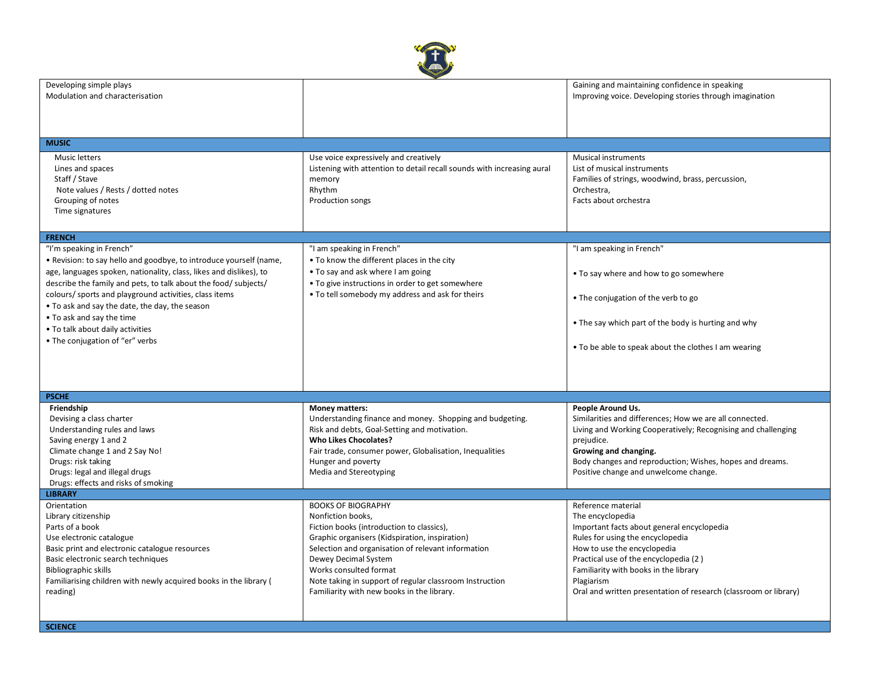

| Developing simple plays                                            |                                                                        | Gaining and maintaining confidence in speaking                   |
|--------------------------------------------------------------------|------------------------------------------------------------------------|------------------------------------------------------------------|
| Modulation and characterisation                                    |                                                                        | Improving voice. Developing stories through imagination          |
|                                                                    |                                                                        |                                                                  |
|                                                                    |                                                                        |                                                                  |
|                                                                    |                                                                        |                                                                  |
|                                                                    |                                                                        |                                                                  |
| <b>MUSIC</b>                                                       |                                                                        |                                                                  |
|                                                                    |                                                                        | <b>Musical instruments</b>                                       |
| <b>Music letters</b>                                               | Use voice expressively and creatively                                  |                                                                  |
| Lines and spaces                                                   | Listening with attention to detail recall sounds with increasing aural | List of musical instruments                                      |
| Staff / Stave                                                      | memory                                                                 | Families of strings, woodwind, brass, percussion,                |
| Note values / Rests / dotted notes                                 | Rhythm                                                                 | Orchestra,                                                       |
| Grouping of notes                                                  | Production songs                                                       | Facts about orchestra                                            |
| Time signatures                                                    |                                                                        |                                                                  |
|                                                                    |                                                                        |                                                                  |
|                                                                    |                                                                        |                                                                  |
| <b>FRENCH</b>                                                      |                                                                        |                                                                  |
| "I'm speaking in French"                                           | "I am speaking in French"                                              | "I am speaking in French"                                        |
| . Revision: to say hello and goodbye, to introduce yourself (name, | • To know the different places in the city                             |                                                                  |
| age, languages spoken, nationality, class, likes and dislikes), to | • To say and ask where I am going                                      | • To say where and how to go somewhere                           |
| describe the family and pets, to talk about the food/ subjects/    | • To give instructions in order to get somewhere                       |                                                                  |
|                                                                    |                                                                        |                                                                  |
| colours/ sports and playground activities, class items             | . To tell somebody my address and ask for theirs                       | • The conjugation of the verb to go                              |
| • To ask and say the date, the day, the season                     |                                                                        |                                                                  |
| • To ask and say the time                                          |                                                                        |                                                                  |
| • To talk about daily activities                                   |                                                                        | • The say which part of the body is hurting and why              |
| • The conjugation of "er" verbs                                    |                                                                        |                                                                  |
|                                                                    |                                                                        | . To be able to speak about the clothes I am wearing             |
|                                                                    |                                                                        |                                                                  |
|                                                                    |                                                                        |                                                                  |
|                                                                    |                                                                        |                                                                  |
|                                                                    |                                                                        |                                                                  |
| <b>PSCHE</b>                                                       |                                                                        |                                                                  |
| Friendship                                                         | <b>Money matters:</b>                                                  | People Around Us.                                                |
| Devising a class charter                                           | Understanding finance and money. Shopping and budgeting.               | Similarities and differences; How we are all connected.          |
| Understanding rules and laws                                       | Risk and debts, Goal-Setting and motivation.                           | Living and Working Cooperatively; Recognising and challenging    |
| Saving energy 1 and 2                                              | <b>Who Likes Chocolates?</b>                                           | prejudice.                                                       |
| Climate change 1 and 2 Say No!                                     | Fair trade, consumer power, Globalisation, Inequalities                | Growing and changing.                                            |
| Drugs: risk taking                                                 |                                                                        | Body changes and reproduction; Wishes, hopes and dreams.         |
|                                                                    | Hunger and poverty                                                     |                                                                  |
| Drugs: legal and illegal drugs                                     | Media and Stereotyping                                                 | Positive change and unwelcome change.                            |
| Drugs: effects and risks of smoking                                |                                                                        |                                                                  |
| <b>LIBRARY</b>                                                     |                                                                        |                                                                  |
| Orientation                                                        | <b>BOOKS OF BIOGRAPHY</b>                                              | Reference material                                               |
| Library citizenship                                                | Nonfiction books,                                                      | The encyclopedia                                                 |
| Parts of a book                                                    | Fiction books (introduction to classics),                              | Important facts about general encyclopedia                       |
| Use electronic catalogue                                           | Graphic organisers (Kidspiration, inspiration)                         | Rules for using the encyclopedia                                 |
| Basic print and electronic catalogue resources                     | Selection and organisation of relevant information                     | How to use the encyclopedia                                      |
|                                                                    |                                                                        |                                                                  |
| Basic electronic search techniques                                 | Dewey Decimal System                                                   | Practical use of the encyclopedia (2)                            |
| Bibliographic skills                                               | Works consulted format                                                 | Familiarity with books in the library                            |
| Familiarising children with newly acquired books in the library (  | Note taking in support of regular classroom Instruction                | Plagiarism                                                       |
| reading)                                                           | Familiarity with new books in the library.                             | Oral and written presentation of research (classroom or library) |
|                                                                    |                                                                        |                                                                  |
|                                                                    |                                                                        |                                                                  |
|                                                                    |                                                                        |                                                                  |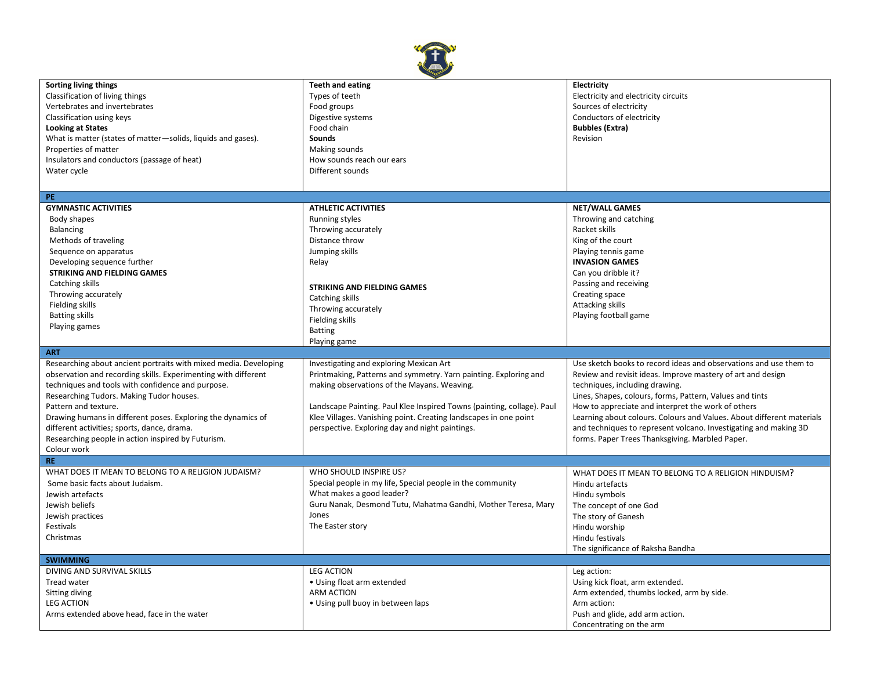

| Sorting living things                                            | <b>Teeth and eating</b>                                                | Electricity                                                           |
|------------------------------------------------------------------|------------------------------------------------------------------------|-----------------------------------------------------------------------|
| Classification of living things                                  | Types of teeth                                                         | Electricity and electricity circuits                                  |
| Vertebrates and invertebrates                                    | Food groups                                                            | Sources of electricity                                                |
| Classification using keys                                        | Digestive systems                                                      | Conductors of electricity                                             |
| <b>Looking at States</b>                                         | Food chain                                                             | <b>Bubbles (Extra)</b>                                                |
| What is matter (states of matter-solids, liquids and gases).     | Sounds                                                                 | Revision                                                              |
| Properties of matter                                             | Making sounds                                                          |                                                                       |
| Insulators and conductors (passage of heat)                      | How sounds reach our ears                                              |                                                                       |
| Water cycle                                                      | Different sounds                                                       |                                                                       |
|                                                                  |                                                                        |                                                                       |
|                                                                  |                                                                        |                                                                       |
| PE.                                                              |                                                                        |                                                                       |
| <b>GYMNASTIC ACTIVITIES</b>                                      | <b>ATHLETIC ACTIVITIES</b>                                             | <b>NET/WALL GAMES</b>                                                 |
| Body shapes                                                      | <b>Running styles</b>                                                  | Throwing and catching                                                 |
| Balancing                                                        | Throwing accurately                                                    | Racket skills                                                         |
| Methods of traveling                                             | Distance throw                                                         | King of the court                                                     |
| Sequence on apparatus                                            | Jumping skills                                                         | Playing tennis game                                                   |
| Developing sequence further                                      | Relay                                                                  | <b>INVASION GAMES</b>                                                 |
| STRIKING AND FIELDING GAMES                                      |                                                                        | Can you dribble it?                                                   |
| Catching skills                                                  | <b>STRIKING AND FIELDING GAMES</b>                                     | Passing and receiving                                                 |
| Throwing accurately                                              | Catching skills                                                        | Creating space                                                        |
| Fielding skills                                                  |                                                                        | Attacking skills                                                      |
| <b>Batting skills</b>                                            | Throwing accurately                                                    | Playing football game                                                 |
| Playing games                                                    | Fielding skills                                                        |                                                                       |
|                                                                  | <b>Batting</b>                                                         |                                                                       |
|                                                                  | Playing game                                                           |                                                                       |
|                                                                  |                                                                        |                                                                       |
| <b>ART</b>                                                       |                                                                        |                                                                       |
| Researching about ancient portraits with mixed media. Developing | Investigating and exploring Mexican Art                                | Use sketch books to record ideas and observations and use them to     |
| observation and recording skills. Experimenting with different   | Printmaking, Patterns and symmetry. Yarn painting. Exploring and       | Review and revisit ideas. Improve mastery of art and design           |
| techniques and tools with confidence and purpose.                | making observations of the Mayans. Weaving.                            | techniques, including drawing.                                        |
| Researching Tudors. Making Tudor houses.                         |                                                                        | Lines, Shapes, colours, forms, Pattern, Values and tints              |
| Pattern and texture.                                             | Landscape Painting. Paul Klee Inspired Towns (painting, collage). Paul | How to appreciate and interpret the work of others                    |
| Drawing humans in different poses. Exploring the dynamics of     | Klee Villages. Vanishing point. Creating landscapes in one point       | Learning about colours. Colours and Values. About different materials |
| different activities; sports, dance, drama.                      | perspective. Exploring day and night paintings.                        | and techniques to represent volcano. Investigating and making 3D      |
| Researching people in action inspired by Futurism.               |                                                                        | forms. Paper Trees Thanksgiving. Marbled Paper.                       |
| Colour work                                                      |                                                                        |                                                                       |
| <b>RE</b>                                                        |                                                                        |                                                                       |
| WHAT DOES IT MEAN TO BELONG TO A RELIGION JUDAISM?               | WHO SHOULD INSPIRE US?                                                 | WHAT DOES IT MEAN TO BELONG TO A RELIGION HINDUISM?                   |
| Some basic facts about Judaism.                                  | Special people in my life, Special people in the community             | Hindu artefacts                                                       |
| Jewish artefacts                                                 | What makes a good leader?                                              | Hindu symbols                                                         |
| Jewish beliefs                                                   | Guru Nanak, Desmond Tutu, Mahatma Gandhi, Mother Teresa, Mary          | The concept of one God                                                |
| Jewish practices                                                 | Jones                                                                  | The story of Ganesh                                                   |
| Festivals                                                        |                                                                        |                                                                       |
| Christmas                                                        | The Easter story                                                       | Hindu worship                                                         |
|                                                                  |                                                                        | Hindu festivals                                                       |
| <b>SWIMMING</b>                                                  |                                                                        | The significance of Raksha Bandha                                     |
| DIVING AND SURVIVAL SKILLS                                       | <b>LEG ACTION</b>                                                      |                                                                       |
| <b>Tread water</b>                                               |                                                                        | Leg action:                                                           |
|                                                                  | • Using float arm extended                                             | Using kick float, arm extended.                                       |
| Sitting diving                                                   | <b>ARM ACTION</b>                                                      | Arm extended, thumbs locked, arm by side.                             |
| <b>LEG ACTION</b><br>Arms extended above head, face in the water | • Using pull buoy in between laps                                      | Arm action:<br>Push and glide, add arm action.                        |